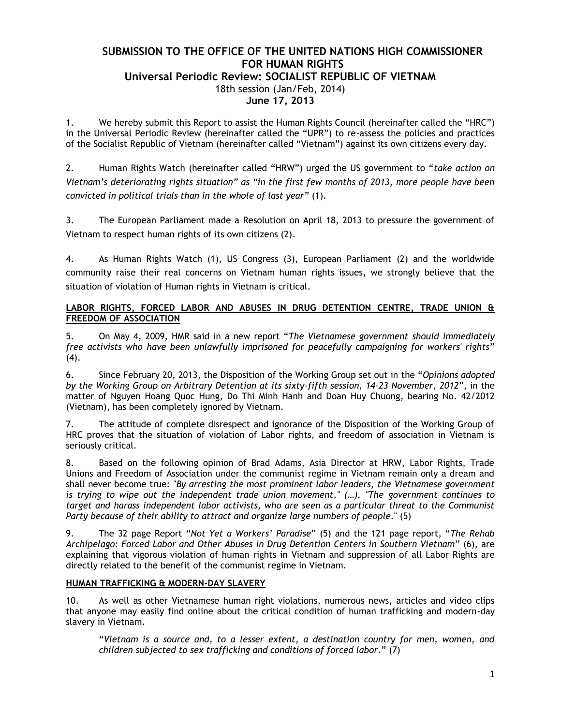# **SUBMISSION TO THE OFFICE OF THE UNITED NATIONS HIGH COMMISSIONER FOR HUMAN RIGHTS Universal Periodic Review: SOCIALIST REPUBLIC OF VIETNAM** 18th session (Jan/Feb, 2014) **June 17, 2013**

1. We hereby submit this Report to assist the Human Rights Council (hereinafter called the "HRC") in the Universal Periodic Review (hereinafter called the "UPR") to re-assess the policies and practices of the Socialist Republic of Vietnam (hereinafter called "Vietnam") against its own citizens every day.

2. Human Rights Watch (hereinafter called "HRW") urged the US government to "*take action on Vietnam's deteriorating rights situation" as "in the first few months of 2013, more people have been convicted in political trials than in the whole of last year"* (1).

3. The European Parliament made a Resolution on April 18, 2013 to pressure the government of Vietnam to respect human rights of its own citizens (2).

4. As Human Rights Watch (1), US Congress (3), European Parliament (2) and the worldwide community raise their real concerns on Vietnam human rights issues, we strongly believe that the situation of violation of Human rights in Vietnam is critical.

### **LABOR RIGHTS, FORCED LABOR AND ABUSES IN DRUG DETENTION CENTRE, TRADE UNION & FREEDOM OF ASSOCIATION**

5. On May 4, 2009, HMR said in a new report "*The Vietnamese government should immediately free activists who have been unlawfully imprisoned for peacefully campaigning for workers' rights*"  $(4).$ 

6. Since February 20, 2013, the Disposition of the Working Group set out in the "*Opinions adopted by the Working Group on Arbitrary Detention at its sixty-fifth session, 14-23 November, 2012*", in the matter of Nguyen Hoang Quoc Hung, Do Thi Minh Hanh and Doan Huy Chuong, bearing No. 42/2012 (Vietnam), has been completely ignored by Vietnam.

7. The attitude of complete disrespect and ignorance of the Disposition of the Working Group of HRC proves that the situation of violation of Labor rights, and freedom of association in Vietnam is seriously critical.

8. Based on the following opinion of Brad Adams, Asia Director at HRW, Labor Rights, Trade Unions and Freedom of Association under the communist regime in Vietnam remain only a dream and shall never become true: "*By arresting the most prominent labor leaders, the Vietnamese government is trying to wipe out the independent trade union movement," (…). "The government continues to target and harass independent labor activists, who are seen as a particular threat to the Communist Party because of their ability to attract and organize large numbers of people*." (5)

9. The 32 page Report "*[Not Yet a Workers' Paradise](http://www.hrw.org/reports/2009/05/03/not-yet-workers-paradise)*" (5) and the 121 page report, "*[The Rehab](http://hrw.org/reports/2011/09/07/rehab-archipelago-0)  [Archipelago: Forced Labor and Other Abuses in Drug Detention Centers in Southern Vietnam](http://hrw.org/reports/2011/09/07/rehab-archipelago-0)*" (6), are explaining that vigorous violation of human rights in Vietnam and suppression of all Labor Rights are directly related to the benefit of the communist regime in Vietnam.

#### **HUMAN TRAFFICKING & MODERN-DAY SLAVERY**

10. As well as other Vietnamese human right violations, numerous news, articles and video clips that anyone may easily find online about the critical condition of human trafficking and modern-day slavery in Vietnam.

"*Vietnam is a source and, to a lesser extent, a destination country for men, women, and children subjected to sex trafficking and conditions of forced labor*." (7)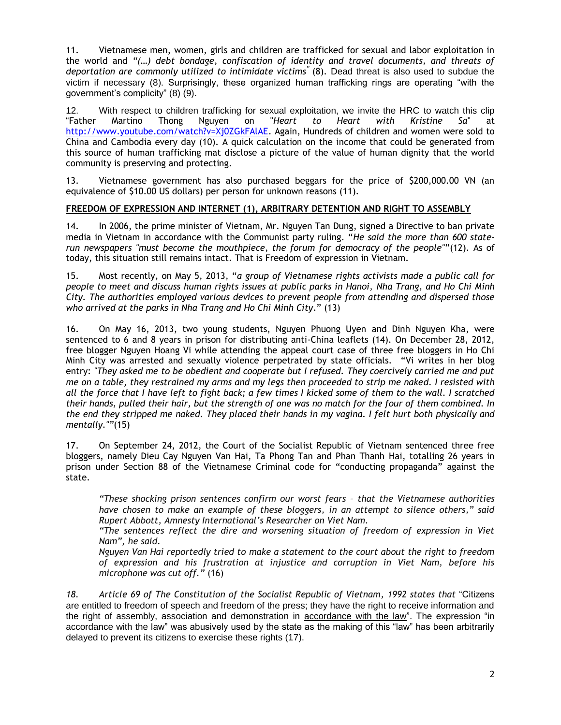11. Vietnamese men, women, girls and children are trafficked for sexual and labor exploitation in the world and *"(…) debt bondage, confiscation of identity and travel documents, and threats of deportation are commonly utilized to intimidate victims"* (8). Dead threat is also used to subdue the victim if necessary (8). Surprisingly, these organized human trafficking rings are operating "with the government's complicity" (8) (9).

12. With respect to children trafficking for sexual exploitation, we invite the HRC to watch this clip<br>"Father Martino Thong Nguyen on "Heart to Heart with Kristine Sa" at "Father Martino Thong Nguyen on "*Heart to Heart with Kristine Sa*" at [http://www.youtube.com/watch?v=Xj0ZGkFAlAE.](http://www.youtube.com/watch?v=Xj0ZGkFAlAE) Again, Hundreds of children and women were sold to China and Cambodia every day (10). A quick calculation on the income that could be generated from this source of human trafficking mat disclose a picture of the value of human dignity that the world community is preserving and protecting.

13. Vietnamese government has also purchased beggars for the price of \$200,000.00 VN (an equivalence of \$10.00 US dollars) per person for unknown reasons (11).

#### **FREEDOM OF EXPRESSION AND INTERNET (1), ARBITRARY DETENTION AND RIGHT TO ASSEMBLY**

14. In 2006, the prime minister of Vietnam, Mr. Nguyen Tan Dung, signed a Directive to ban private media in Vietnam in accordance with the Communist party ruling. "*He said the more than 600 staterun newspapers "must become the mouthpiece, the forum for democracy of the people"*"(12). As of today, this situation still remains intact. That is Freedom of expression in Vietnam.

15. Most recently, on May 5, 2013, "*a group of Vietnamese rights activists made a public call for people to meet and discuss human rights issues at public parks in Hanoi, Nha Trang, and Ho Chi Minh City. The authorities employed various devices to prevent people from attending and dispersed those who arrived at the parks in Nha Trang and Ho Chi Minh City*." (13)

16. On May 16, 2013, two young students, Nguyen Phuong Uyen and Dinh Nguyen Kha, were sentenced to 6 and 8 years in prison for distributing anti-China leaflets (14). On December 28, 2012, free blogger Nguyen Hoang Vi while attending the appeal court case of three free bloggers in Ho Chi Minh City was arrested and sexually violence perpetrated by state officials. "Vi writes in her blog entry: *"They asked me to be obedient and cooperate but I refused. They coercively carried me and put me on a table, they restrained my arms and my legs then proceeded to strip me naked. I resisted with all the force that I have left to fight back; a few times I kicked some of them to the wall. I scratched their hands, pulled their hair, but the strength of one was no match for the four of them combined. In the end they stripped me naked. They placed their hands in my vagina. I felt hurt both physically and mentally.""*(15)

17. On September 24, 2012, the Court of the Socialist Republic of Vietnam sentenced three free bloggers, namely Dieu Cay Nguyen Van Hai, Ta Phong Tan and Phan Thanh Hai, totalling 26 years in prison under Section 88 of the Vietnamese Criminal code for "conducting propaganda" against the state.

*"These shocking prison sentences confirm our worst fears – that the Vietnamese authorities have chosen to make an example of these bloggers, in an attempt to silence others," said Rupert Abbott, Amnesty International's Researcher on Viet Nam.*

*"The sentences reflect the dire and worsening situation of freedom of expression in Viet Nam", he said.*

*Nguyen Van Hai reportedly tried to make a statement to the court about the right to freedom of expression and his frustration at injustice and corruption in Viet Nam, before his microphone was cut off."* (16)

*18. Article 69 of The Constitution of the Socialist Republic of Vietnam, 1992 states that* "Citizens are entitled to freedom of speech and freedom of the press; they have the right to receive information and the right of assembly, association and demonstration in accordance with the law". The expression "in accordance with the law" was abusively used by the state as the making of this "law" has been arbitrarily delayed to prevent its citizens to exercise these rights (17).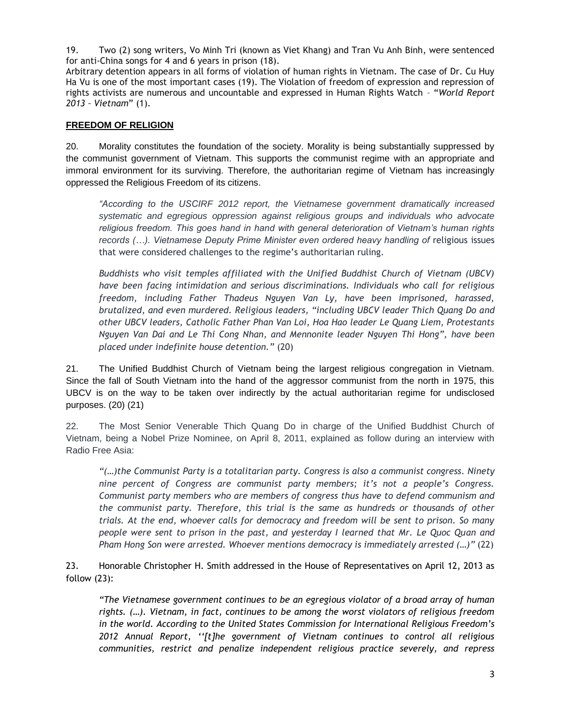19. Two (2) song writers, Vo Minh Tri (known as Viet Khang) and Tran Vu Anh Binh, were sentenced for anti-China songs for 4 and 6 years in prison (18).

Arbitrary detention appears in all forms of violation of human rights in Vietnam. The case of Dr. Cu Huy Ha Vu is one of the most important cases (19). The Violation of freedom of expression and repression of rights activists are numerous and uncountable and expressed in Human Rights Watch – "*World Report 2013 – Vietnam*" (1).

### **FREEDOM OF RELIGION**

20. Morality constitutes the foundation of the society. Morality is being substantially suppressed by the communist government of Vietnam. This supports the communist regime with an appropriate and immoral environment for its surviving. Therefore, the authoritarian regime of Vietnam has increasingly oppressed the Religious Freedom of its citizens.

*"According to the USCIRF 2012 report, the Vietnamese government dramatically increased systematic and egregious oppression against religious groups and individuals who advocate religious freedom. This goes hand in hand with general deterioration of Vietnam's human rights*  records (...). Vietnamese Deputy Prime Minister even ordered heavy handling of religious issues that were considered challenges to the regime's authoritarian ruling.

*Buddhists who visit temples affiliated with the Unified Buddhist Church of Vietnam (UBCV) have been facing intimidation and serious discriminations. Individuals who call for religious freedom, including Father Thadeus Nguyen Van Ly, have been imprisoned, harassed, brutalized, and even murdered. Religious leaders, "including UBCV leader Thich Quang Do and other UBCV leaders, Catholic Father Phan Van Loi, Hoa Hao leader Le Quang Liem, Protestants Nguyen Van Dai and Le Thi Cong Nhan, and Mennonite leader Nguyen Thi Hong", have been placed under indefinite house detention."* (20)

21. The Unified Buddhist Church of Vietnam being the largest religious congregation in Vietnam. Since the fall of South Vietnam into the hand of the aggressor communist from the north in 1975, this UBCV is on the way to be taken over indirectly by the actual authoritarian regime for undisclosed purposes. (20) (21)

22. The Most Senior Venerable Thich Quang Do in charge of the Unified Buddhist Church of Vietnam, being a Nobel Prize Nominee, on April 8, 2011, explained as follow during an interview with Radio Free Asia:

*"(…)the Communist Party is a totalitarian party. Congress is also a communist congress. Ninety nine percent of Congress are communist party members; it's not a people's Congress. Communist party members who are members of congress thus have to defend communism and the communist party. Therefore, this trial is the same as hundreds or thousands of other trials. At the end, whoever calls for democracy and freedom will be sent to prison. So many people were sent to prison in the past, and yesterday I learned that Mr. Le Quoc Quan and Pham Hong Son were arrested. Whoever mentions democracy is immediately arrested (…)"* (22)

23. Honorable Christopher H. Smith addressed in the House of Representatives on April 12, 2013 as follow (23):

*"The Vietnamese government continues to be an egregious violator of a broad array of human rights. (…). Vietnam, in fact, continues to be among the worst violators of religious freedom in the world. According to the United States Commission for International Religious Freedom's 2012 Annual Report, ''[t]he government of Vietnam continues to control all religious communities, restrict and penalize independent religious practice severely, and repress*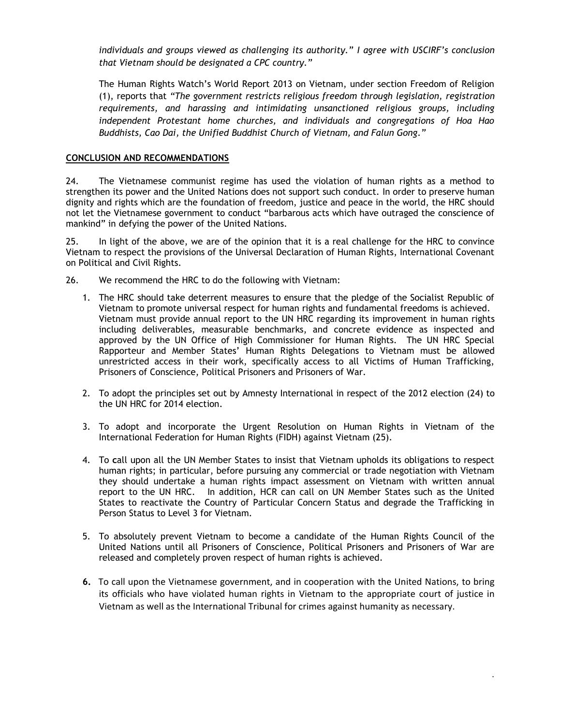*individuals and groups viewed as challenging its authority." I agree with USCIRF's conclusion that Vietnam should be designated a CPC country."*

The Human Rights Watch's World Report 2013 on Vietnam, under section Freedom of Religion (1), reports that *"The government restricts religious freedom through legislation, registration requirements, and harassing and intimidating unsanctioned religious groups, including independent Protestant home churches, and individuals and congregations of Hoa Hao Buddhists, Cao Dai, the Unified Buddhist Church of Vietnam, and Falun Gong."*

#### **CONCLUSION AND RECOMMENDATIONS**

24. The Vietnamese communist regime has used the violation of human rights as a method to strengthen its power and the United Nations does not support such conduct. In order to preserve human dignity and rights which are the foundation of freedom, justice and peace in the world, the HRC should not let the Vietnamese government to conduct "barbarous acts which have outraged the conscience of mankind" in defying the power of the United Nations.

25. In light of the above, we are of the opinion that it is a real challenge for the HRC to convince Vietnam to respect the provisions of the Universal Declaration of Human Rights, International Covenant on Political and Civil Rights.

26. We recommend the HRC to do the following with Vietnam:

- 1. The HRC should take deterrent measures to ensure that the pledge of the Socialist Republic of Vietnam to promote universal respect for human rights and fundamental freedoms is achieved. Vietnam must provide annual report to the UN HRC regarding its improvement in human rights including deliverables, measurable benchmarks, and concrete evidence as inspected and approved by the UN Office of High Commissioner for Human Rights. The UN HRC Special Rapporteur and Member States' Human Rights Delegations to Vietnam must be allowed unrestricted access in their work, specifically access to all Victims of Human Trafficking, Prisoners of Conscience, Political Prisoners and Prisoners of War.
- 2. To adopt the principles set out by Amnesty International in respect of the 2012 election (24) to the UN HRC for 2014 election.
- 3. To adopt and incorporate the Urgent Resolution on Human Rights in Vietnam of the International Federation for Human Rights (FIDH) against Vietnam (25).
- 4. To **c**all upon all the UN Member States to insist that Vietnam upholds its obligations to respect human rights; in particular, before pursuing any commercial or trade negotiation with Vietnam they should undertake a human rights impact assessment on Vietnam with written annual report to the UN HRC. In addition, HCR can call on UN Member States such as the United States to reactivate the Country of Particular Concern Status and degrade the Trafficking in Person Status to Level 3 for Vietnam.
- 5. To absolutely prevent Vietnam to become a candidate of the Human Rights Council of the United Nations until all Prisoners of Conscience, Political Prisoners and Prisoners of War are released and completely proven respect of human rights is achieved.
- **6.** To call upon the Vietnamese government, and in cooperation with the United Nations, to bring its officials who have violated human rights in Vietnam to the appropriate court of justice in Vietnam as well as the International Tribunal for crimes against humanity as necessary.